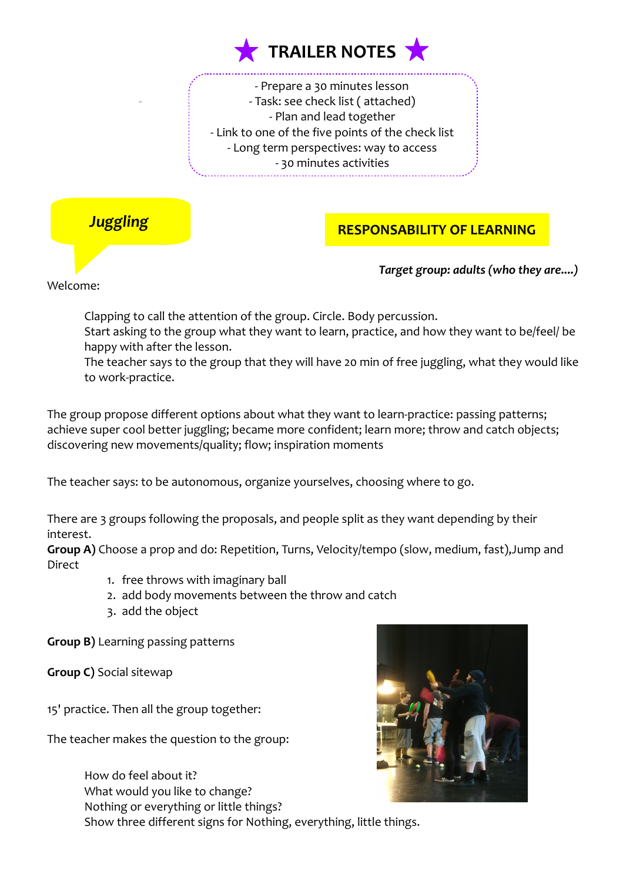

- Prepare a 30 minutes lesson - Task: see check list ( attached) - Plan and lead together - Link to one of the five points of the check list - Long term perspectives: way to access - 30 minutes activities



# **RESPONSABILITY OF LEARNING**

*Target group: adults (who they are....)*

Welcome:

Clapping to call the attention of the group. Circle. Body percussion.

Start asking to the group what they want to learn, practice, and how they want to be/feel/ be happy with after the lesson.

The teacher says to the group that they will have 20 min of free juggling, what they would like to work-practice.

The group propose different options about what they want to learn-practice: passing patterns; achieve super cool better juggling; became more confident; learn more; throw and catch objects; discovering new movements/quality; flow; inspiration moments

The teacher says: to be autonomous, organize yourselves, choosing where to go.

There are 3 groups following the proposals, and people split as they want depending by their interest.

**Group A)** Choose a prop and do: Repetition, Turns, Velocity/tempo (slow, medium, fast),Jump and **Direct** 

- 1. free throws with imaginary ball
- 2. add body movements between the throw and catch
- 3. add the object

**Group B)** Learning passing patterns

**Group C)** Social sitewap

15' practice. Then all the group together:

The teacher makes the question to the group:



How do feel about it? What would you like to change? Nothing or everything or little things? Show three different signs for Nothing, everything, little things.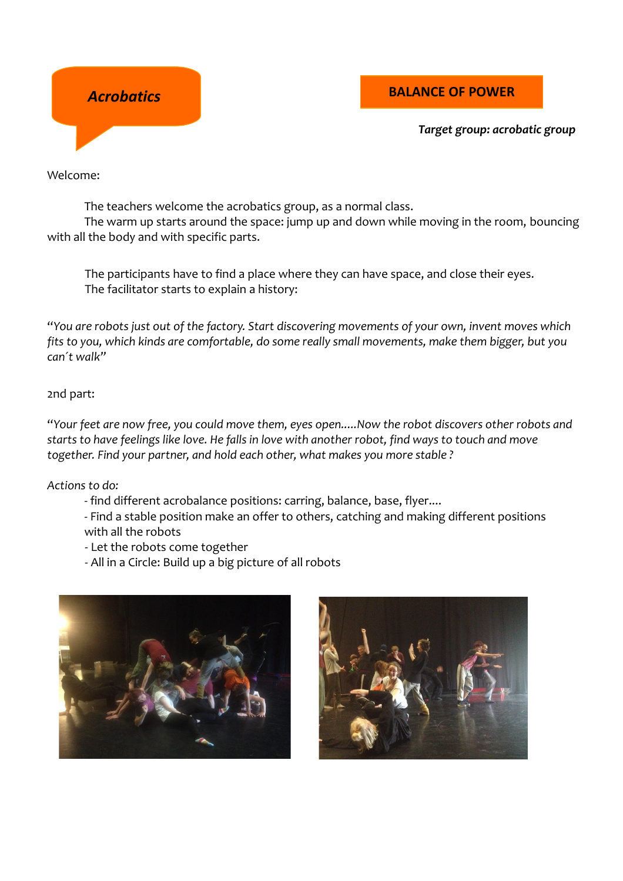

### **Acrobatics BALANCE OF POWER**

*Target group: acrobatic group* 

Welcome:

The teachers welcome the acrobatics group, as a normal class.

The warm up starts around the space: jump up and down while moving in the room, bouncing with all the body and with specific parts.

The participants have to find a place where they can have space, and close their eyes. The facilitator starts to explain a history:

"*You are robots just out of the factory. Start discovering movements of your own, invent moves which fits to you, which kinds are comfortable, do some really small movements, make them bigger, but you can´t walk"*

#### 2nd part:

"*Your feet are now free, you could move them, eyes open.....Now the robot discovers other robots and starts to have feelings like love. He falls in love with another robot, find ways to touch and move together. Find your partner, and hold each other, what makes you more stable ?* 

*Actions to do:*

- find different acrobalance positions: carring, balance, base, flyer....

- Find a stable position make an offer to others, catching and making different positions with all the robots

- Let the robots come together
- All in a Circle: Build up a big picture of all robots



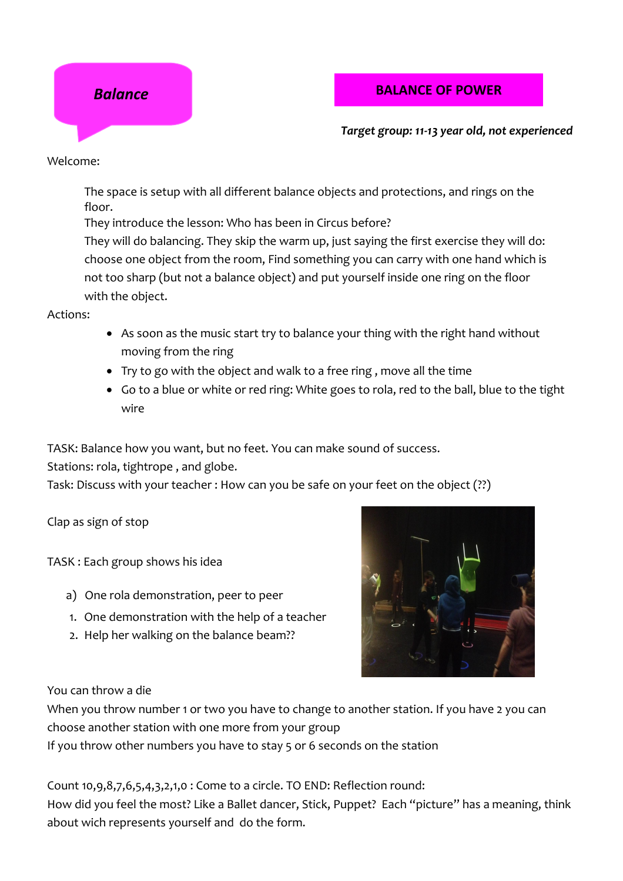

### **Balance BALANCE OF POWER**

*Target group: 11-13 year old, not experienced* 

Welcome:

The space is setup with all different balance objects and protections, and rings on the floor.

They introduce the lesson: Who has been in Circus before?

They will do balancing. They skip the warm up, just saying the first exercise they will do: choose one object from the room, Find something you can carry with one hand which is not too sharp (but not a balance object) and put yourself inside one ring on the floor with the object.

Actions:

- As soon as the music start try to balance your thing with the right hand without moving from the ring
- Try to go with the object and walk to a free ring , move all the time
- Go to a blue or white or red ring: White goes to rola, red to the ball, blue to the tight wire

TASK: Balance how you want, but no feet. You can make sound of success.

Stations: rola, tightrope , and globe.

Task: Discuss with your teacher : How can you be safe on your feet on the object (??)

Clap as sign of stop

TASK : Each group shows his idea

- a) One rola demonstration, peer to peer
- 1. One demonstration with the help of a teacher
- 2. Help her walking on the balance beam??



You can throw a die

When you throw number 1 or two you have to change to another station. If you have 2 you can choose another station with one more from your group

If you throw other numbers you have to stay 5 or 6 seconds on the station

Count 10,9,8,7,6,5,4,3,2,1,0 : Come to a circle. TO END: Reflection round: How did you feel the most? Like a Ballet dancer, Stick, Puppet? Each "picture" has a meaning, think about wich represents yourself and do the form.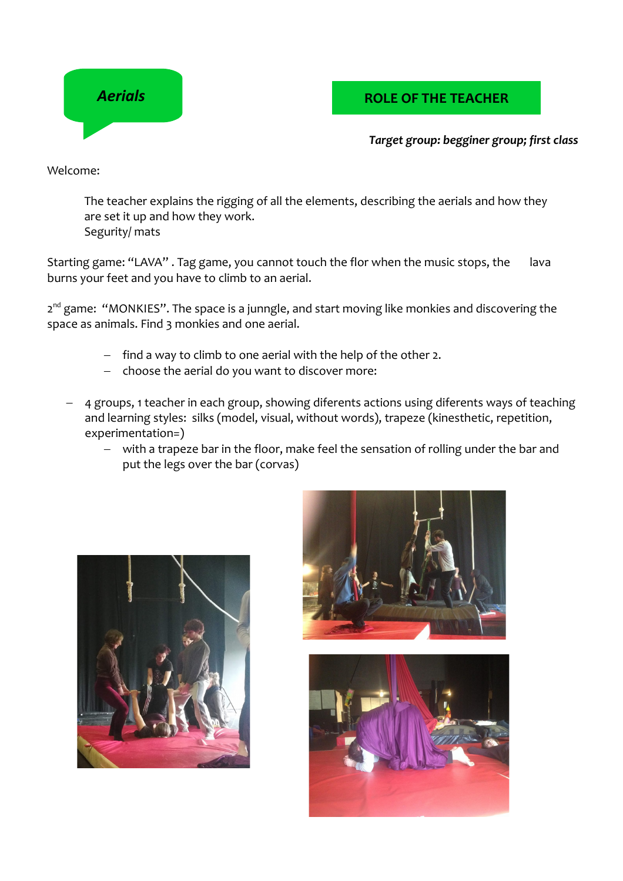

## *Aerials* **COLE OF THE TEACHER**

#### *Target group: begginer group; first class*

Welcome:

The teacher explains the rigging of all the elements, describing the aerials and how they are set it up and how they work. Segurity/ mats

Starting game: "LAVA". Tag game, you cannot touch the flor when the music stops, the lava burns your feet and you have to climb to an aerial.

2<sup>nd</sup> game: "MONKIES". The space is a junngle, and start moving like monkies and discovering the space as animals. Find 3 monkies and one aerial.

- $-$  find a way to climb to one aerial with the help of the other 2.
- $-$  choose the aerial do you want to discover more:
- 4 groups, 1 teacher in each group, showing diferents actions using diferents ways of teaching and learning styles: silks (model, visual, without words), trapeze (kinesthetic, repetition, experimentation=)
	- with a trapeze bar in the floor, make feel the sensation of rolling under the bar and put the legs over the bar (corvas)





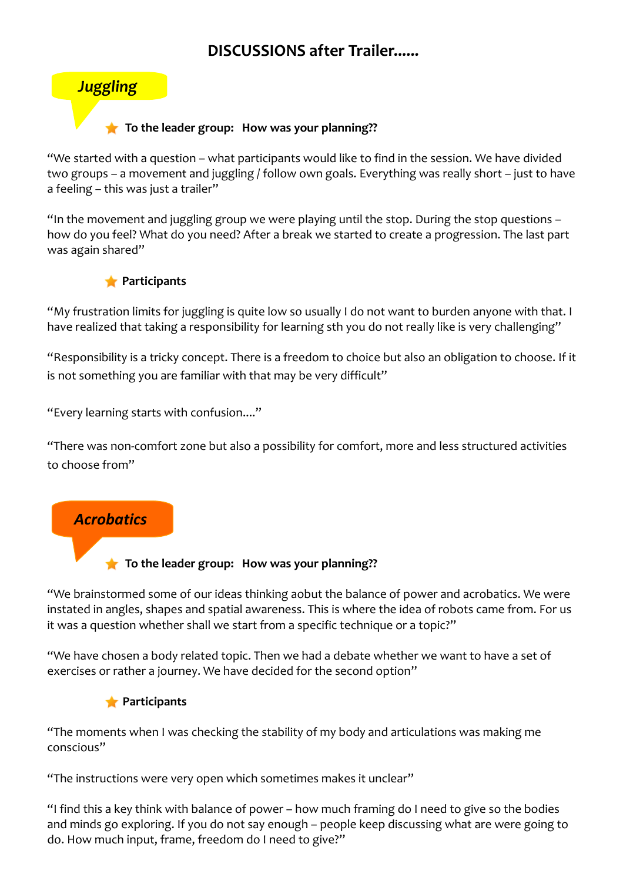# **DISCUSSIONS after Trailer......**



#### **To the leader group: How was your planning??**

"We started with a question – what participants would like to find in the session. We have divided two groups – a movement and juggling / follow own goals. Everything was really short – just to have a feeling – this was just a trailer"

"In the movement and juggling group we were playing until the stop. During the stop questions – how do you feel? What do you need? After a break we started to create a progression. The last part was again shared"



"My frustration limits for juggling is quite low so usually I do not want to burden anyone with that. I have realized that taking a responsibility for learning sth you do not really like is very challenging"

"Responsibility is a tricky concept. There is a freedom to choice but also an obligation to choose. If it is not something you are familiar with that may be very difficult"

"Every learning starts with confusion...."

"There was non-comfort zone but also a possibility for comfort, more and less structured activities to choose from"

# *Acrobatics*

**To the leader group:** How was your planning??

"We brainstormed some of our ideas thinking aobut the balance of power and acrobatics. We were instated in angles, shapes and spatial awareness. This is where the idea of robots came from. For us it was a question whether shall we start from a specific technique or a topic?"

"We have chosen a body related topic. Then we had a debate whether we want to have a set of exercises or rather a journey. We have decided for the second option"

#### **Participants**

"The moments when I was checking the stability of my body and articulations was making me conscious"

"The instructions were very open which sometimes makes it unclear"

"I find this a key think with balance of power – how much framing do I need to give so the bodies and minds go exploring. If you do not say enough – people keep discussing what are were going to do. How much input, frame, freedom do I need to give?"